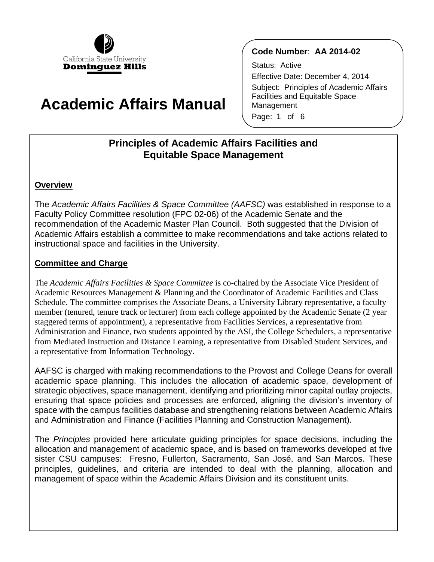

# **Academic Affairs Manual**

# **Code Number**: **AA 2014-02**

Status: Active Effective Date: December 4, 2014 Subject: Principles of Academic Affairs Facilities and Equitable Space Management Page: 1 of 6

# **Principles of Academic Affairs Facilities and Equitable Space Management**

## **Overview**

The *Academic Affairs Facilities & Space Committee (AAFSC)* was established in response to a Faculty Policy Committee resolution (FPC 02-06) of the Academic Senate and the recommendation of the Academic Master Plan Council. Both suggested that the Division of Academic Affairs establish a committee to make recommendations and take actions related to instructional space and facilities in the University.

# **Committee and Charge**

 member (tenured, tenure track or lecturer) from each college appointed by the Academic Senate (2 year from Mediated Instruction and Distance Learning, a representative from Disabled Student Services, and The *Academic Affairs Facilities & Space Committee* is co-chaired by the Associate Vice President of Academic Resources Management & Planning and the Coordinator of Academic Facilities and Class Schedule. The committee comprises the Associate Deans, a University Library representative, a faculty staggered terms of appointment), a representative from Facilities Services, a representative from Administration and Finance, two students appointed by the ASI, the College Schedulers, a representative a representative from Information Technology.

 AAFSC is charged with making recommendations to the Provost and College Deans for overall academic space planning. This includes the allocation of academic space, development of strategic objectives, space management, identifying and prioritizing minor capital outlay projects, ensuring that space policies and processes are enforced, aligning the division's inventory of space with the campus facilities database and strengthening relations between Academic Affairs and Administration and Finance (Facilities Planning and Construction Management).

 sister CSU campuses: Fresno, Fullerton, Sacramento, San José, and San Marcos. These management of space within the Academic Affairs Division and its constituent units. The *Principles* provided here articulate guiding principles for space decisions, including the allocation and management of academic space, and is based on frameworks developed at five principles, guidelines, and criteria are intended to deal with the planning, allocation and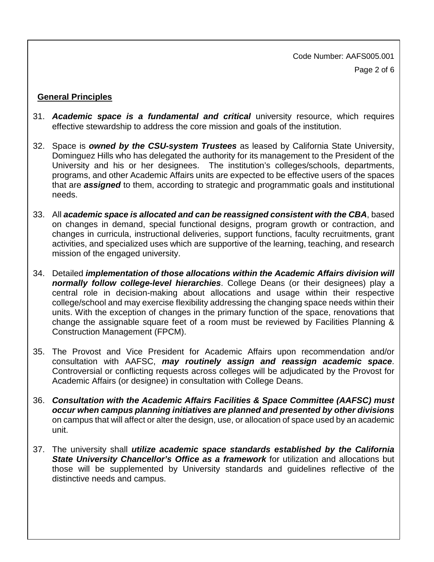Page 2 of 6 Code Number: AAFS005.001

## **General Principles**

- 31. **Academic space is a fundamental and critical** university resource, which requires effective stewardship to address the core mission and goals of the institution.
- University and his or her designees. The institution's colleges/schools, departments, 32. Space is *owned by the CSU-system Trustees* as leased by California State University, Dominguez Hills who has delegated the authority for its management to the President of the programs, and other Academic Affairs units are expected to be effective users of the spaces that are *assigned* to them, according to strategic and programmatic goals and institutional needs.
- on changes in demand, special functional designs, program growth or contraction, and changes in curricula, instructional deliveries, support functions, faculty recruitments, grant 33. All *academic space is allocated and can be reassigned consistent with the CBA*, based activities, and specialized uses which are supportive of the learning, teaching, and research mission of the engaged university.
- *normally follow college-level hierarchies*. College Deans (or their designees) play a central role in decision-making about allocations and usage within their respective 34. Detailed *implementation of those allocations within the Academic Affairs division will* college/school and may exercise flexibility addressing the changing space needs within their units. With the exception of changes in the primary function of the space, renovations that change the assignable square feet of a room must be reviewed by Facilities Planning & Construction Management (FPCM).
- Controversial or conflicting requests across colleges will be adjudicated by the Provost for 35. The Provost and Vice President for Academic Affairs upon recommendation and/or consultation with AAFSC, *may routinely assign and reassign academic space*. Academic Affairs (or designee) in consultation with College Deans.
- 36. *Consultation with the Academic Affairs Facilities & Space Committee (AAFSC) must occur when campus planning initiatives are planned and presented by other divisions*  on campus that will affect or alter the design, use, or allocation of space used by an academic unit.
- 37. The university shall *utilize academic space standards established by the California* **State University Chancellor's Office as a framework** for utilization and allocations but those will be supplemented by University standards and guidelines reflective of the distinctive needs and campus.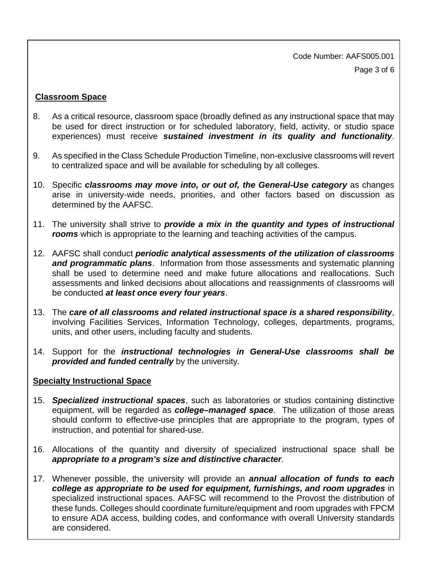Code Number: AAFS005.001 Page 3 of 6

## **Classroom Space**

- 8. As a critical resource, classroom space (broadly defined as any instructional space that may be used for direct instruction or for scheduled laboratory, field, activity, or studio space experiences) must receive *sustained investment in its quality and functionality*.
- 9. As specified in the Class Schedule Production Timeline, non-exclusive classrooms will revert to centralized space and will be available for scheduling by all colleges.
- arise in university-wide needs, priorities, and other factors based on discussion as 10. Specific *classrooms may move into, or out of, the General-Use category* as changes determined by the AAFSC.
- 11. The university shall strive to **provide a mix in the quantity and types of instructional** *rooms* which is appropriate to the learning and teaching activities of the campus.
- *and programmatic plans*. Information from those assessments and systematic planning 12. AAFSC shall conduct *periodic analytical assessments of the utilization of classrooms* shall be used to determine need and make future allocations and reallocations. Such assessments and linked decisions about allocations and reassignments of classrooms will be conducted *at least once every four years*.
- involving Facilities Services, Information Technology, colleges, departments, programs, units, and other users, including faculty and students. 13. The care of all classrooms and related instructional space is a shared responsibility,
- 14. Support for the *instructional technologies in General-Use classrooms shall be provided and funded centrally* by the university.

## **Specialty Instructional Space**

- 15. *Specialized instructional spaces*, such as laboratories or studios containing distinctive equipment, will be regarded as *college–managed space*. The utilization of those areas should conform to effective-use principles that are appropriate to the program, types of instruction, and potential for shared-use.
- 16. Allocations of the quantity and diversity of specialized instructional space shall be *appropriate to a program's size and distinctive character*.
- 17. Whenever possible, the university will provide an *annual allocation of funds to each college as appropriate to be used for equipment, furnishings, and room upgrades in* specialized instructional spaces. AAFSC will recommend to the Provost the distribution of these funds. Colleges should coordinate furniture/equipment and room upgrades with FPCM to ensure ADA access, building codes, and conformance with overall University standards are considered.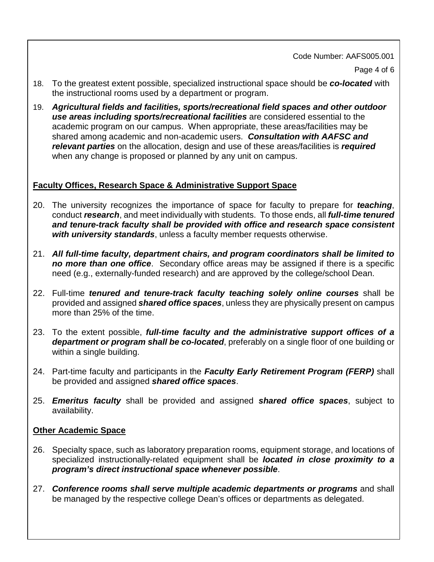Code Number: AAFS005.001

Page 4 of 6

- 18. To the greatest extent possible, specialized instructional space should be *co-located* with the instructional rooms used by a department or program.
- *use areas including sports/recreational facilities* are considered essential to the academic program on our campus. When appropriate, these areas/facilities may be shared among academic and non-academic users. *Consultation with AAFSC and*  19. *Agricultural fields and facilities, sports/recreational field spaces and other outdoor relevant parties* on the allocation, design and use of these areas/facilities is *required*  when any change is proposed or planned by any unit on campus.

# **Faculty Offices, Research Space & Administrative Support Space**

- conduct *research*, and meet individually with students. To those ends, all *full-time tenured*  20. The university recognizes the importance of space for faculty to prepare for *teaching*, *and tenure-track faculty shall be provided with office and research space consistent with university standards*, unless a faculty member requests otherwise.
- 21. *All full-time faculty, department chairs, and program coordinators shall be limited to no more than one office*. Secondary office areas may be assigned if there is a specific need (e.g., externally-funded research) and are approved by the college/school Dean.
- 22. Full-time *tenured and tenure-track faculty teaching solely online courses* shall be provided and assigned *shared office spaces*, unless they are physically present on campus more than 25% of the time.
- 23. To the extent possible, *full-time faculty and the administrative support offices of a department or program shall be co-located*, preferably on a single floor of one building or within a single building.
- 24. Part-time faculty and participants in the *Faculty Early Retirement Program (FERP)* shall be provided and assigned *shared office spaces*.
- 25. *Emeritus faculty* shall be provided and assigned *shared office spaces*, subject to availability.

## **Other Academic Space**

- 26. Specialty space, such as laboratory preparation rooms, equipment storage, and locations of  specialized instructionally-related equipment shall be *located in close proximity to a program's direct instructional space whenever possible*.
- 27. **Conference rooms shall serve multiple academic departments or programs** and shall be managed by the respective college Dean's offices or departments as delegated.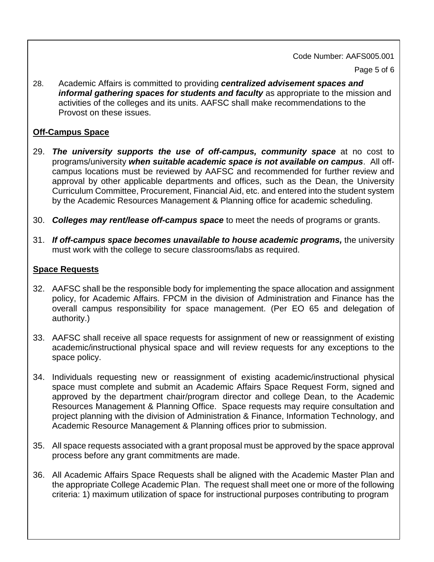#### Code Number: AAFS005.001

Page 5 of 6

28. Academic Affairs is committed to providing *centralized advisement spaces and informal gathering spaces for students and faculty* as appropriate to the mission and activities of the colleges and its units. AAFSC shall make recommendations to the Provost on these issues.

# **Off-Campus Space**

- programs/university *when suitable academic space is not available on campus*. All off-29. The university supports the use of off-campus, community space at no cost to campus locations must be reviewed by AAFSC and recommended for further review and approval by other applicable departments and offices, such as the Dean, the University Curriculum Committee, Procurement, Financial Aid, etc. and entered into the student system by the Academic Resources Management & Planning office for academic scheduling.
- 30. Colleges may rent/lease off-campus space to meet the needs of programs or grants.
- 31. If off-campus space becomes unavailable to house academic programs, the university must work with the college to secure classrooms/labs as required.

## **Space Requests**

- 32. AAFSC shall be the responsible body for implementing the space allocation and assignment policy, for Academic Affairs. FPCM in the division of Administration and Finance has the overall campus responsibility for space management. (Per EO 65 and delegation of authority.)
- 33. AAFSC shall receive all space requests for assignment of new or reassignment of existing academic/instructional physical space and will review requests for any exceptions to the space policy.
- Resources Management & Planning Office. Space requests may require consultation and 34. Individuals requesting new or reassignment of existing academic/instructional physical space must complete and submit an Academic Affairs Space Request Form, signed and approved by the department chair/program director and college Dean, to the Academic project planning with the division of Administration & Finance, Information Technology, and Academic Resource Management & Planning offices prior to submission.
- 35. All space requests associated with a grant proposal must be approved by the space approval process before any grant commitments are made.
- 36. All Academic Affairs Space Requests shall be aligned with the Academic Master Plan and the appropriate College Academic Plan. The request shall meet one or more of the following criteria: 1) maximum utilization of space for instructional purposes contributing to program